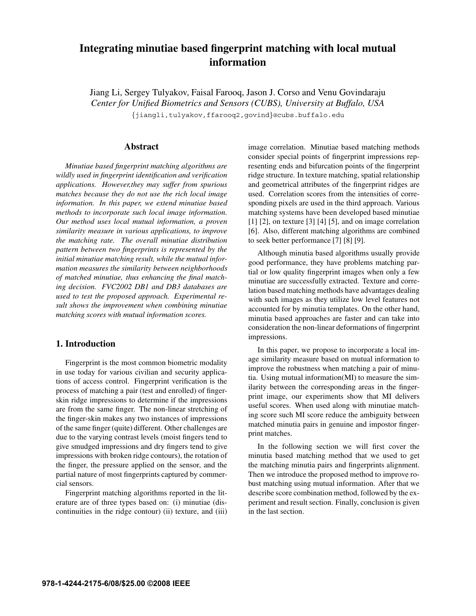# **Integrating minutiae based fingerprint matching with local mutual information**

Jiang Li, Sergey Tulyakov, Faisal Farooq, Jason J. Corso and Venu Govindaraju *Center for Unified Biometrics and Sensors (CUBS), University at Buffalo, USA*

{jiangli,tulyakov,ffarooq2,govind}@cubs.buffalo.edu

# **Abstract**

*Minutiae based fingerprint matching algorithms are wildly used in fingerprint identification and verification applications. However,they may suffer from spurious matches because they do not use the rich local image information. In this paper, we extend minutiae based methods to incorporate such local image information. Our method uses local mutual information, a proven similarity measure in various applications, to improve the matching rate. The overall minutiae distribution pattern between two fingerprints is represented by the initial minutiae matching result, while the mutual information measures the similarity between neighborhoods of matched minutiae, thus enhancing the final matching decision. FVC2002 DB1 and DB3 databases are used to test the proposed approach. Experimental result shows the improvement when combining minutiae matching scores with mutual information scores.*

# **1. Introduction**

Fingerprint is the most common biometric modality in use today for various civilian and security applications of access control. Fingerprint verification is the process of matching a pair (test and enrolled) of fingerskin ridge impressions to determine if the impressions are from the same finger. The non-linear stretching of the finger-skin makes any two instances of impressions of the same finger (quite) different. Other challenges are due to the varying contrast levels (moist fingers tend to give smudged impressions and dry fingers tend to give impressions with broken ridge contours), the rotation of the finger, the pressure applied on the sensor, and the partial nature of most fingerprints captured by commercial sensors.

Fingerprint matching algorithms reported in the literature are of three types based on: (i) minutiae (discontinuities in the ridge contour) (ii) texture, and (iii) image correlation. Minutiae based matching methods consider special points of fingerprint impressions representing ends and bifurcation points of the fingerprint ridge structure. In texture matching, spatial relationship and geometrical attributes of the fingerprint ridges are used. Correlation scores from the intensities of corresponding pixels are used in the third approach. Various matching systems have been developed based minutiae  $[1]$   $[2]$ , on texture  $[3]$   $[4]$   $[5]$ , and on image correlation [6]. Also, different matching algorithms are combined to seek better performance [7] [8] [9].

Although minutia based algorithms usually provide good performance, they have problems matching partial or low quality fingerprint images when only a few minutiae are successfully extracted. Texture and correlation based matching methods have advantages dealing with such images as they utilize low level features not accounted for by minutia templates. On the other hand, minutia based approaches are faster and can take into consideration the non-linear deformations of fingerprint impressions.

In this paper, we propose to incorporate a local image similarity measure based on mutual information to improve the robustness when matching a pair of minutia. Using mutual information(MI) to measure the similarity between the corresponding areas in the fingerprint image, our experiments show that MI delivers useful scores. When used along with minutiae matching score such MI score reduce the ambiguity between matched minutia pairs in genuine and impostor fingerprint matches.

In the following section we will first cover the minutia based matching method that we used to get the matching minutia pairs and fingerprints alignment. Then we introduce the proposed method to improve robust matching using mutual information. After that we describe score combination method, followed by the experiment and result section. Finally, conclusion is given in the last section.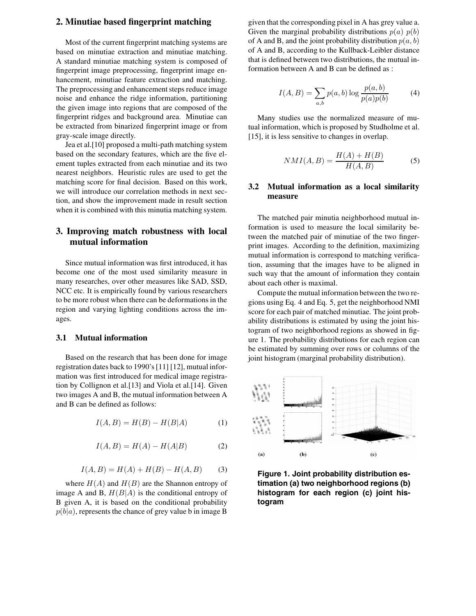## **2. Minutiae based fingerprint matching**

Most of the current fingerprint matching systems are based on minutiae extraction and minutiae matching. A standard minutiae matching system is composed of fingerprint image preprocessing, fingerprint image enhancement, minutiae feature extraction and matching. The preprocessing and enhancement steps reduce image noise and enhance the ridge information, partitioning the given image into regions that are composed of the fingerprint ridges and background area. Minutiae can be extracted from binarized fingerprint image or from gray-scale image directly.

Jea et al.[10] proposed a multi-path matching system based on the secondary features, which are the five element tuples extracted from each minutiae and its two nearest neighbors. Heuristic rules are used to get the matching score for final decision. Based on this work, we will introduce our correlation methods in next section, and show the improvement made in result section when it is combined with this minutia matching system.

# **3. Improving match robustness with local mutual information**

Since mutual information was first introduced, it has become one of the most used similarity measure in many researches, over other measures like SAD, SSD, NCC etc. It is empirically found by various researchers to be more robust when there can be deformations in the region and varying lighting conditions across the images.

## **3.1 Mutual information**

Based on the research that has been done for image registration dates back to 1990's [11] [12], mutual information was first introduced for medical image registration by Collignon et al.[13] and Viola et al.[14]. Given two images A and B, the mutual information between A and B can be defined as follows:

$$
I(A, B) = H(B) - H(B|A)
$$
 (1)

$$
I(A, B) = H(A) - H(A|B)
$$
 (2)

$$
I(A, B) = H(A) + H(B) - H(A, B)
$$
 (3)

where  $H(A)$  and  $H(B)$  are the Shannon entropy of image A and B,  $H(B|A)$  is the conditional entropy of B given A, it is based on the conditional probability  $p(b|a)$ , represents the chance of grey value b in image B

given that the corresponding pixel in A has grey value a. Given the marginal probability distributions  $p(a)$   $p(b)$ of A and B, and the joint probability distribution  $p(a, b)$ of A and B, according to the Kullback-Leibler distance that is defined between two distributions, the mutual information between A and B can be defined as :

$$
I(A, B) = \sum_{a,b} p(a, b) \log \frac{p(a, b)}{p(a)p(b)}
$$
(4)

Many studies use the normalized measure of mutual information, which is proposed by Studholme et al. [15], it is less sensitive to changes in overlap.

$$
NMI(A,B) = \frac{H(A) + H(B)}{H(A,B)}\tag{5}
$$

#### **3.2 Mutual information as a local similarity measure**

The matched pair minutia neighborhood mutual information is used to measure the local similarity between the matched pair of minutiae of the two fingerprint images. According to the definition, maximizing mutual information is correspond to matching verification, assuming that the images have to be aligned in such way that the amount of information they contain about each other is maximal.

Compute the mutual information between the two regions using Eq. 4 and Eq. 5, get the neighborhood NMI score for each pair of matched minutiae. The joint probability distributions is estimated by using the joint histogram of two neighborhood regions as showed in figure 1. The probability distributions for each region can be estimated by summing over rows or columns of the joint histogram (marginal probability distribution).



**Figure 1. Joint probability distribution estimation (a) two neighborhood regions (b) histogram for each region (c) joint histogram**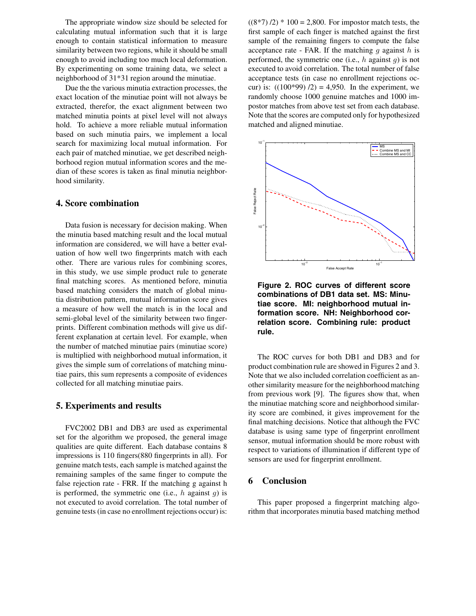The appropriate window size should be selected for calculating mutual information such that it is large enough to contain statistical information to measure similarity between two regions, while it should be small enough to avoid including too much local deformation. By experimenting on some training data, we select a neighborhood of 31\*31 region around the minutiae.

Due the the various minutia extraction processes, the exact location of the minutiae point will not always be extracted, therefor, the exact alignment between two matched minutia points at pixel level will not always hold. To achieve a more reliable mutual information based on such minutia pairs, we implement a local search for maximizing local mutual information. For each pair of matched minutiae, we get described neighborhood region mutual information scores and the median of these scores is taken as final minutia neighborhood similarity.

#### **4. Score combination**

Data fusion is necessary for decision making. When the minutia based matching result and the local mutual information are considered, we will have a better evaluation of how well two fingerprints match with each other. There are various rules for combining scores, in this study, we use simple product rule to generate final matching scores. As mentioned before, minutia based matching considers the match of global minutia distribution pattern, mutual information score gives a measure of how well the match is in the local and semi-global level of the similarity between two fingerprints. Different combination methods will give us different explanation at certain level. For example, when the number of matched minutiae pairs (minutiae score) is multiplied with neighborhood mutual information, it gives the simple sum of correlations of matching minutiae pairs, this sum represents a composite of evidences collected for all matching minutiae pairs.

## **5. Experiments and results**

FVC2002 DB1 and DB3 are used as experimental set for the algorithm we proposed, the general image qualities are quite different. Each database contains 8 impressions is 110 fingers(880 fingerprints in all). For genuine match tests, each sample is matched against the remaining samples of the same finger to compute the false rejection rate - FRR. If the matching g against h is performed, the symmetric one (i.e.,  $h$  against  $q$ ) is not executed to avoid correlation. The total number of genuine tests (in case no enrollment rejections occur) is:

 $((8*7)/2) * 100 = 2,800$ . For impostor match tests, the first sample of each finger is matched against the first sample of the remaining fingers to compute the false acceptance rate - FAR. If the matching  $q$  against  $h$  is performed, the symmetric one (i.e.,  $h$  against  $q$ ) is not executed to avoid correlation. The total number of false acceptance tests (in case no enrollment rejections occur) is:  $((100*99) / 2) = 4,950$ . In the experiment, we randomly choose 1000 genuine matches and 1000 impostor matches from above test set from each database. Note that the scores are computed only for hypothesized matched and aligned minutiae.



**Figure 2. ROC curves of different score combinations of DB1 data set. MS: Minutiae score. MI: neighborhood mutual information score. NH: Neighborhood correlation score. Combining rule: product rule.**

The ROC curves for both DB1 and DB3 and for product combination rule are showed in Figures 2 and 3. Note that we also included correlation coefficient as another similarity measure for the neighborhood matching from previous work [9]. The figures show that, when the minutiae matching score and neighborhood similarity score are combined, it gives improvement for the final matching decisions. Notice that although the FVC database is using same type of fingerprint enrollment sensor, mutual information should be more robust with respect to variations of illumination if different type of sensors are used for fingerprint enrollment.

## **6 Conclusion**

This paper proposed a fingerprint matching algorithm that incorporates minutia based matching method